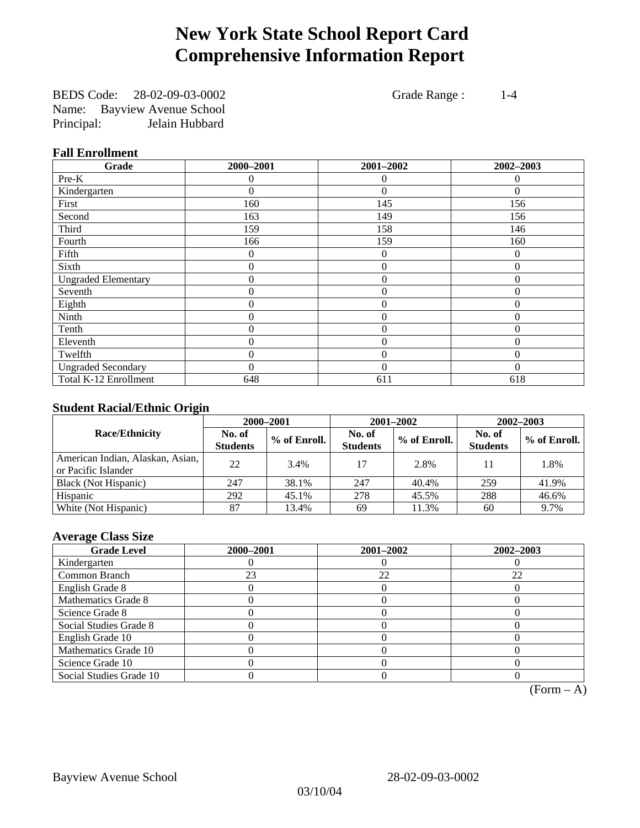# **New York State School Report Card Comprehensive Information Report**

BEDS Code: 28-02-09-03-0002 Grade Range : 1-4 Name: Bayview Avenue School Principal: Jelain Hubbard

### **Fall Enrollment**

| Grade                      | 2000-2001 | 2001-2002        | 2002-2003      |
|----------------------------|-----------|------------------|----------------|
| Pre-K                      | 0         | 0                | $\theta$       |
| Kindergarten               | 0         | $\theta$         | $\Omega$       |
| First                      | 160       | 145              | 156            |
| Second                     | 163       | 149              | 156            |
| Third                      | 159       | 158              | 146            |
| Fourth                     | 166       | 159              | 160            |
| Fifth                      | 0         | $\theta$         | $\theta$       |
| Sixth                      | 0         | $\overline{0}$   | $\overline{0}$ |
| <b>Ungraded Elementary</b> | 0         | $\overline{0}$   | $\overline{0}$ |
| Seventh                    | 0         | $\mathbf{0}$     | $\theta$       |
| Eighth                     | 0         | $\overline{0}$   | $\theta$       |
| Ninth                      | 0         | $\overline{0}$   | $\Omega$       |
| Tenth                      | 0         | $\boldsymbol{0}$ | 0              |
| Eleventh                   | 0         | $\overline{0}$   | $\theta$       |
| Twelfth                    | 0         | $\overline{0}$   | $\Omega$       |
| <b>Ungraded Secondary</b>  | $\theta$  | $\theta$         | $\Omega$       |
| Total K-12 Enrollment      | 648       | 611              | 618            |

## **Student Racial/Ethnic Origin**

|                                                         | 2000-2001                 |              |                           | 2001-2002    | $2002 - 2003$             |                |
|---------------------------------------------------------|---------------------------|--------------|---------------------------|--------------|---------------------------|----------------|
| <b>Race/Ethnicity</b>                                   | No. of<br><b>Students</b> | % of Enroll. | No. of<br><b>Students</b> | % of Enroll. | No. of<br><b>Students</b> | $%$ of Enroll. |
| American Indian, Alaskan, Asian,<br>or Pacific Islander | 22                        | 3.4%         | 17                        | 2.8%         | 11                        | 1.8%           |
| Black (Not Hispanic)                                    | 247                       | 38.1%        | 247                       | 40.4%        | 259                       | 41.9%          |
| Hispanic                                                | 292                       | 45.1%        | 278                       | 45.5%        | 288                       | 46.6%          |
| White (Not Hispanic)                                    | 87                        | 13.4%        | 69                        | 11.3%        | 60                        | 9.7%           |

## **Average Class Size**

| <b>Grade Level</b>      | 2000-2001 | 2001-2002 | 2002-2003 |
|-------------------------|-----------|-----------|-----------|
| Kindergarten            |           |           |           |
| Common Branch           | 23        | 22        | 22        |
| English Grade 8         |           |           |           |
| Mathematics Grade 8     |           |           |           |
| Science Grade 8         |           |           |           |
| Social Studies Grade 8  |           |           |           |
| English Grade 10        |           |           |           |
| Mathematics Grade 10    |           |           |           |
| Science Grade 10        |           |           |           |
| Social Studies Grade 10 |           |           |           |

 $(Form - A)$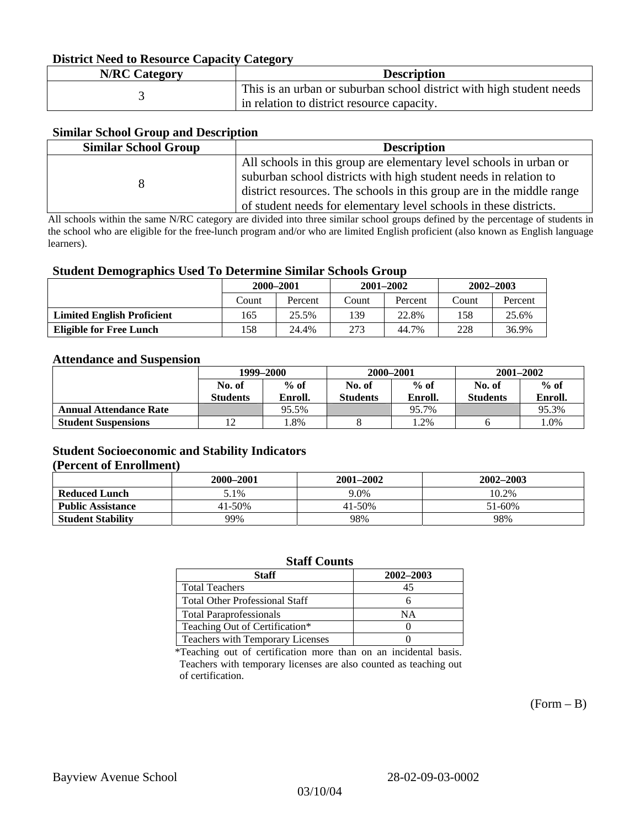#### **District Need to Resource Capacity Category**

| <b>N/RC Category</b> | <b>Description</b>                                                   |
|----------------------|----------------------------------------------------------------------|
|                      | This is an urban or suburban school district with high student needs |
|                      | in relation to district resource capacity.                           |

#### **Similar School Group and Description**

| <b>Similar School Group</b> | <b>Description</b>                                                    |
|-----------------------------|-----------------------------------------------------------------------|
|                             | All schools in this group are elementary level schools in urban or    |
|                             | suburban school districts with high student needs in relation to      |
|                             | district resources. The schools in this group are in the middle range |
|                             | of student needs for elementary level schools in these districts.     |

All schools within the same N/RC category are divided into three similar school groups defined by the percentage of students in the school who are eligible for the free-lunch program and/or who are limited English proficient (also known as English language learners).

#### **Student Demographics Used To Determine Similar Schools Group**

|                                   | 2000-2001 |         | $2001 - 2002$ |         | $2002 - 2003$ |         |
|-----------------------------------|-----------|---------|---------------|---------|---------------|---------|
|                                   | Count     | Percent | Count         | Percent | Count         | Percent |
| <b>Limited English Proficient</b> | 165       | 25.5%   | 139           | 22.8%   | 158           | 25.6%   |
| Eligible for Free Lunch           | l 58      | 24.4%   | 273           | 44.7%   | 228           | 36.9%   |

#### **Attendance and Suspension**

|                               | 1999–2000       |         | 2000-2001       |         | $2001 - 2002$   |         |
|-------------------------------|-----------------|---------|-----------------|---------|-----------------|---------|
|                               | No. of          | $%$ of  | No. of          | $%$ of  | No. of          | $%$ of  |
|                               | <b>Students</b> | Enroll. | <b>Students</b> | Enroll. | <b>Students</b> | Enroll. |
| <b>Annual Attendance Rate</b> |                 | 95.5%   |                 | 95.7%   |                 | 95.3%   |
| <b>Student Suspensions</b>    |                 | .8%     |                 | .2%     |                 | 1.0%    |

#### **Student Socioeconomic and Stability Indicators (Percent of Enrollment)**

|                          | 2000–2001 | $2001 - 2002$ | 2002-2003 |
|--------------------------|-----------|---------------|-----------|
| <b>Reduced Lunch</b>     | 5.1%      | 9.0%          | 10.2%     |
| <b>Public Assistance</b> | 41-50%    | 41-50%        | 51-60%    |
| <b>Student Stability</b> | 99%       | 98%           | 98%       |

#### **Staff Counts**

| Staff                                   | 2002-2003 |
|-----------------------------------------|-----------|
| <b>Total Teachers</b>                   | 45        |
| <b>Total Other Professional Staff</b>   |           |
| <b>Total Paraprofessionals</b>          | NΑ        |
| Teaching Out of Certification*          |           |
| <b>Teachers with Temporary Licenses</b> |           |

\*Teaching out of certification more than on an incidental basis. Teachers with temporary licenses are also counted as teaching out of certification.

 $(Form - B)$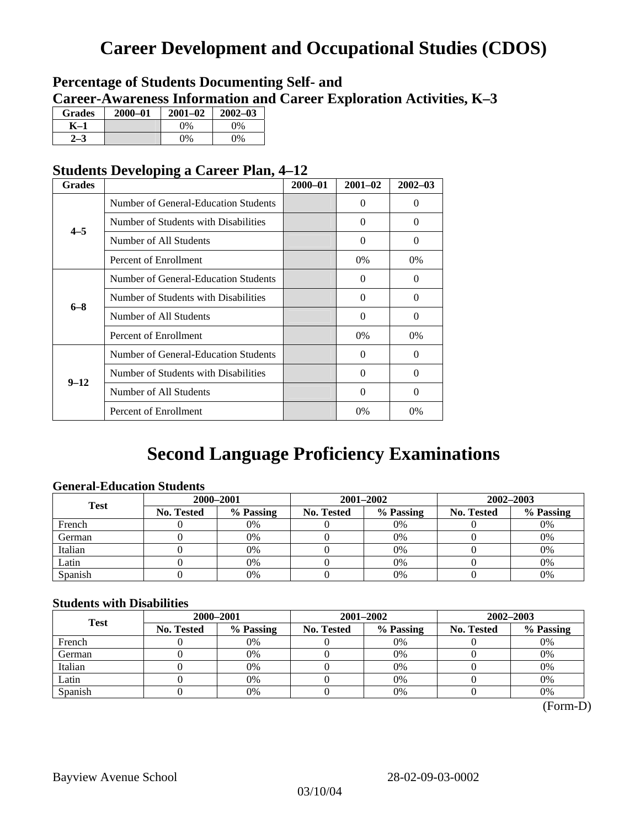# **Career Development and Occupational Studies (CDOS)**

# **Percentage of Students Documenting Self- and Career-Awareness Information and Career Exploration Activities, K–3**

| <b>Grades</b> | 2000-01 | $2001 - 02$ | $2002 - 03$ |
|---------------|---------|-------------|-------------|
| K–1           |         | $0\%$       | $0\%$       |
|               |         | $0\%$       | $0\%$       |

# **Students Developing a Career Plan, 4–12**

| <b>Grades</b> |                                      | $2000 - 01$ | $2001 - 02$ | $2002 - 03$ |
|---------------|--------------------------------------|-------------|-------------|-------------|
|               | Number of General-Education Students |             | 0           | $\Omega$    |
| $4 - 5$       | Number of Students with Disabilities |             | 0           | $\Omega$    |
|               | Number of All Students               |             | 0           | $\Omega$    |
|               | Percent of Enrollment                |             | 0%          | $0\%$       |
|               | Number of General-Education Students |             | 0           | 0           |
| $6 - 8$       | Number of Students with Disabilities |             | $\Omega$    | $\Omega$    |
|               | Number of All Students               |             | $\theta$    | $\Omega$    |
|               | Percent of Enrollment                |             | $0\%$       | $0\%$       |
|               | Number of General-Education Students |             | 0           | $\Omega$    |
| $9 - 12$      | Number of Students with Disabilities |             | 0           | $\Omega$    |
|               | Number of All Students               |             | $\Omega$    | $\Omega$    |
|               | Percent of Enrollment                |             | $0\%$       | 0%          |

# **Second Language Proficiency Examinations**

## **General-Education Students**

| <b>Test</b> | 2000-2001         |           |            | 2001-2002 | 2002-2003         |           |
|-------------|-------------------|-----------|------------|-----------|-------------------|-----------|
|             | <b>No. Tested</b> | % Passing | No. Tested | % Passing | <b>No. Tested</b> | % Passing |
| French      |                   | 0%        |            | 0%        |                   | 0%        |
| German      |                   | 0%        |            | 0%        |                   | 0%        |
| Italian     |                   | 0%        |            | 0%        |                   | 0%        |
| Latin       |                   | 0%        |            | 0%        |                   | 0%        |
| Spanish     |                   | 0%        |            | 0%        |                   | 0%        |

### **Students with Disabilities**

| <b>Test</b> | 2000-2001         |           | 2001-2002  |           | 2002-2003         |           |
|-------------|-------------------|-----------|------------|-----------|-------------------|-----------|
|             | <b>No. Tested</b> | % Passing | No. Tested | % Passing | <b>No. Tested</b> | % Passing |
| French      |                   | 0%        |            | 0%        |                   | 0%        |
| German      |                   | 0%        |            | $0\%$     |                   | 0%        |
| Italian     |                   | 0%        |            | 0%        |                   | 0%        |
| Latin       |                   | 0%        |            | 0%        |                   | 0%        |
| Spanish     |                   | 0%        |            | 0%        |                   | 0%        |

(Form-D)